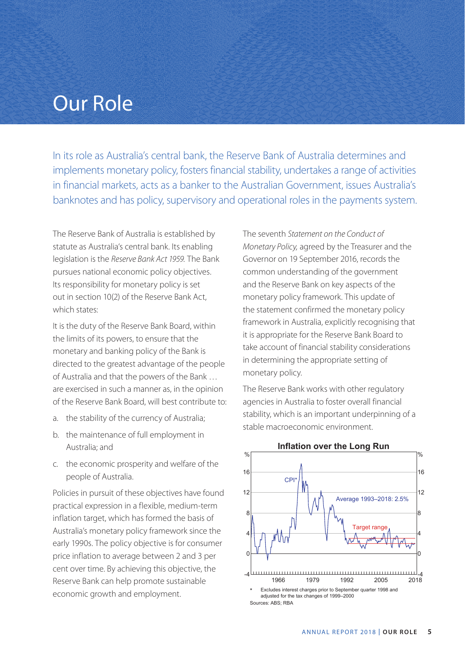## Our Role

In its role as Australia's central bank, the Reserve Bank of Australia determines and implements monetary policy, fosters financial stability, undertakes a range of activities in financial markets, acts as a banker to the Australian Government, issues Australia's banknotes and has policy, supervisory and operational roles in the payments system.

The Reserve Bank of Australia is established by statute as Australia's central bank. Its enabling legislation is the *Reserve Bank Act 1959.* The Bank pursues national economic policy objectives. Its responsibility for monetary policy is set out in section 10(2) of the Reserve Bank Act, which states:

It is the duty of the Reserve Bank Board, within the limits of its powers, to ensure that the monetary and banking policy of the Bank is directed to the greatest advantage of the people of Australia and that the powers of the Bank … are exercised in such a manner as, in the opinion of the Reserve Bank Board, will best contribute to:

- a. the stability of the currency of Australia;
- b. the maintenance of full employment in Australia; and
- c. the economic prosperity and welfare of the people of Australia.

Policies in pursuit of these objectives have found practical expression in a flexible, medium-term inflation target, which has formed the basis of Australia's monetary policy framework since the early 1990s. The policy objective is for consumer price inflation to average between 2 and 3 per cent over time. By achieving this objective, the Reserve Bank can help promote sustainable economic growth and employment.

The seventh *Statement on the Conduct of Monetary Policy,* agreed by the Treasurer and the Governor on 19 September 2016, records the common understanding of the government and the Reserve Bank on key aspects of the monetary policy framework. This update of the statement confirmed the monetary policy framework in Australia, explicitly recognising that it is appropriate for the Reserve Bank Board to take account of financial stability considerations in determining the appropriate setting of monetary policy.

The Reserve Bank works with other regulatory agencies in Australia to foster overall financial stability, which is an important underpinning of a stable macroeconomic environment.



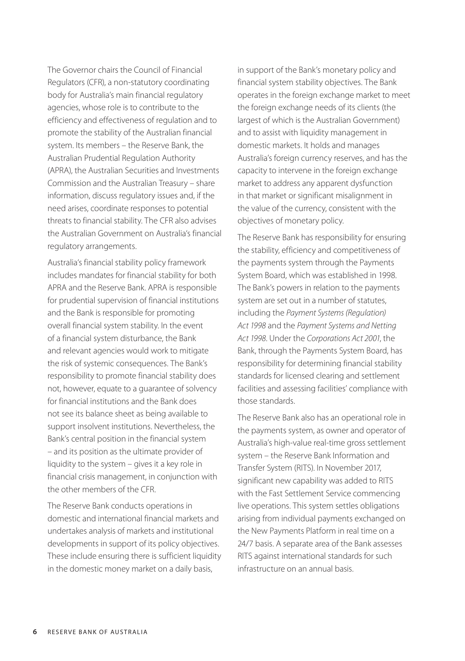The Governor chairs the Council of Financial Regulators (CFR), a non-statutory coordinating body for Australia's main financial regulatory agencies, whose role is to contribute to the efficiency and effectiveness of regulation and to promote the stability of the Australian financial system. Its members – the Reserve Bank, the Australian Prudential Regulation Authority (APRA), the Australian Securities and Investments Commission and the Australian Treasury – share information, discuss regulatory issues and, if the need arises, coordinate responses to potential threats to financial stability. The CFR also advises the Australian Government on Australia's financial regulatory arrangements.

Australia's financial stability policy framework includes mandates for financial stability for both APRA and the Reserve Bank. APRA is responsible for prudential supervision of financial institutions and the Bank is responsible for promoting overall financial system stability. In the event of a financial system disturbance, the Bank and relevant agencies would work to mitigate the risk of systemic consequences. The Bank's responsibility to promote financial stability does not, however, equate to a guarantee of solvency for financial institutions and the Bank does not see its balance sheet as being available to support insolvent institutions. Nevertheless, the Bank's central position in the financial system – and its position as the ultimate provider of liquidity to the system – gives it a key role in financial crisis management, in conjunction with the other members of the CFR.

The Reserve Bank conducts operations in domestic and international financial markets and undertakes analysis of markets and institutional developments in support of its policy objectives. These include ensuring there is sufficient liquidity in the domestic money market on a daily basis,

in support of the Bank's monetary policy and financial system stability objectives. The Bank operates in the foreign exchange market to meet the foreign exchange needs of its clients (the largest of which is the Australian Government) and to assist with liquidity management in domestic markets. It holds and manages Australia's foreign currency reserves, and has the capacity to intervene in the foreign exchange market to address any apparent dysfunction in that market or significant misalignment in the value of the currency, consistent with the objectives of monetary policy.

The Reserve Bank has responsibility for ensuring the stability, efficiency and competitiveness of the payments system through the Payments System Board, which was established in 1998. The Bank's powers in relation to the payments system are set out in a number of statutes, including the *Payment Systems (Regulation) Act 1998* and the *Payment Systems and Netting Act 1998*. Under the *Corporations Act 2001*, the Bank, through the Payments System Board, has responsibility for determining financial stability standards for licensed clearing and settlement facilities and assessing facilities' compliance with those standards.

The Reserve Bank also has an operational role in the payments system, as owner and operator of Australia's high-value real-time gross settlement system – the Reserve Bank Information and Transfer System (RITS). In November 2017, significant new capability was added to RITS with the Fast Settlement Service commencing live operations. This system settles obligations arising from individual payments exchanged on the New Payments Platform in real time on a 24/7 basis. A separate area of the Bank assesses RITS against international standards for such infrastructure on an annual basis.